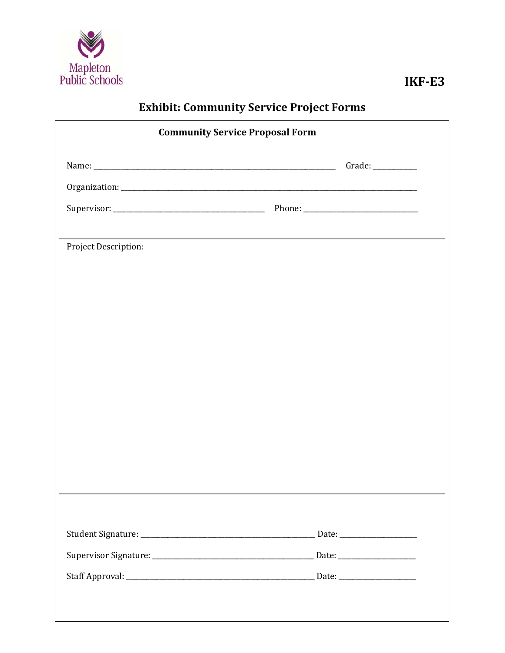

## **Exhibit: Community Service Project Forms**

| <b>Community Service Proposal Form</b> |  |  |  |  |  |
|----------------------------------------|--|--|--|--|--|
|                                        |  |  |  |  |  |
|                                        |  |  |  |  |  |
|                                        |  |  |  |  |  |
|                                        |  |  |  |  |  |
| Project Description:                   |  |  |  |  |  |
|                                        |  |  |  |  |  |
|                                        |  |  |  |  |  |
|                                        |  |  |  |  |  |
|                                        |  |  |  |  |  |
|                                        |  |  |  |  |  |
|                                        |  |  |  |  |  |
|                                        |  |  |  |  |  |
|                                        |  |  |  |  |  |
|                                        |  |  |  |  |  |
|                                        |  |  |  |  |  |
|                                        |  |  |  |  |  |
|                                        |  |  |  |  |  |
|                                        |  |  |  |  |  |
|                                        |  |  |  |  |  |
|                                        |  |  |  |  |  |
|                                        |  |  |  |  |  |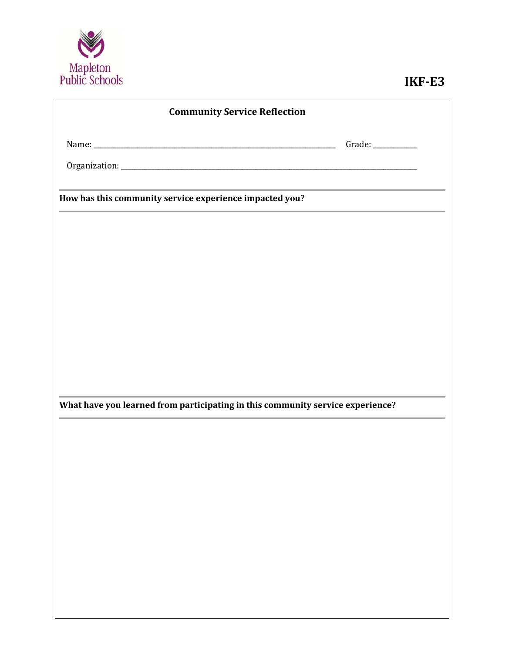

| <b>Community Service Reflection</b>                                            |                   |  |  |  |  |  |  |
|--------------------------------------------------------------------------------|-------------------|--|--|--|--|--|--|
|                                                                                | Grade: __________ |  |  |  |  |  |  |
|                                                                                |                   |  |  |  |  |  |  |
| How has this community service experience impacted you?                        |                   |  |  |  |  |  |  |
|                                                                                |                   |  |  |  |  |  |  |
|                                                                                |                   |  |  |  |  |  |  |
|                                                                                |                   |  |  |  |  |  |  |
|                                                                                |                   |  |  |  |  |  |  |
|                                                                                |                   |  |  |  |  |  |  |
|                                                                                |                   |  |  |  |  |  |  |
|                                                                                |                   |  |  |  |  |  |  |
| What have you learned from participating in this community service experience? |                   |  |  |  |  |  |  |
|                                                                                |                   |  |  |  |  |  |  |
|                                                                                |                   |  |  |  |  |  |  |
|                                                                                |                   |  |  |  |  |  |  |
|                                                                                |                   |  |  |  |  |  |  |
|                                                                                |                   |  |  |  |  |  |  |
|                                                                                |                   |  |  |  |  |  |  |
|                                                                                |                   |  |  |  |  |  |  |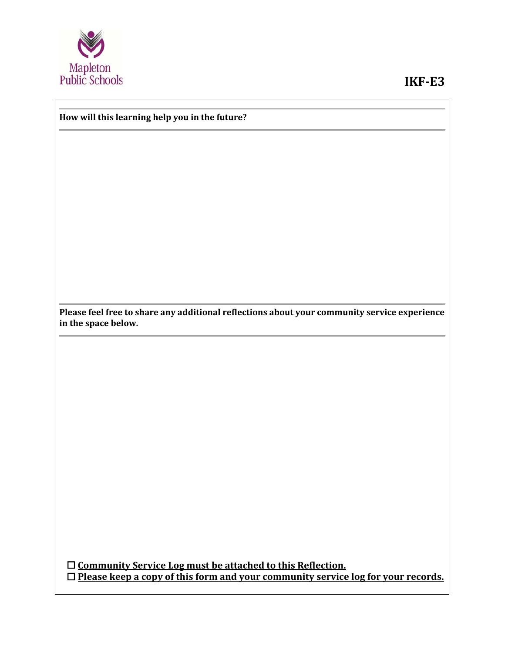

## **IKF-E3**

## **How will this learning help you in the future?**

**Please feel free to share any additional reflections about your community service experience in the space below.**

 **Community Service Log must be attached to this Reflection. Please keep a copy of this form and your community service log for your records.**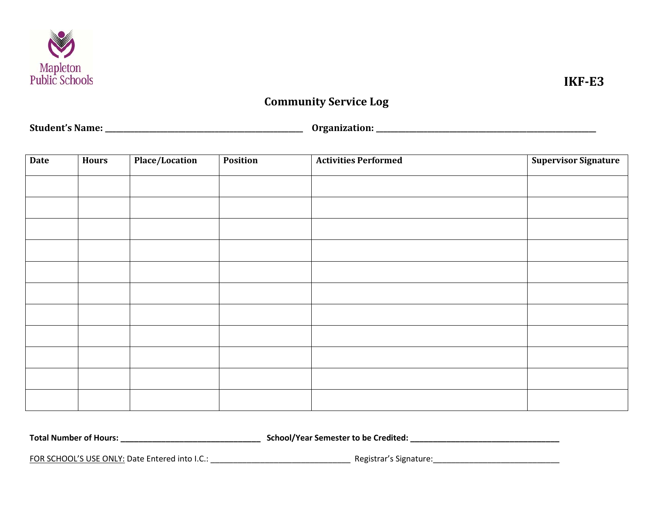

## **Community Service Log**

**Student's Name: \_\_\_\_\_\_\_\_\_\_\_\_\_\_\_\_\_\_\_\_\_\_\_\_\_\_\_\_\_\_\_\_\_\_\_\_\_\_\_\_\_\_\_\_\_\_\_\_\_\_\_\_\_\_ Organization: \_\_\_\_\_\_\_\_\_\_\_\_\_\_\_\_\_\_\_\_\_\_\_\_\_\_\_\_\_\_\_\_\_\_\_\_\_\_\_\_\_\_\_\_\_\_\_\_\_\_\_\_\_\_\_\_\_\_\_\_**

| Date | <b>Hours</b> | Place/Location | Position | <b>Activities Performed</b> | <b>Supervisor Signature</b> |
|------|--------------|----------------|----------|-----------------------------|-----------------------------|
|      |              |                |          |                             |                             |
|      |              |                |          |                             |                             |
|      |              |                |          |                             |                             |
|      |              |                |          |                             |                             |
|      |              |                |          |                             |                             |
|      |              |                |          |                             |                             |
|      |              |                |          |                             |                             |
|      |              |                |          |                             |                             |
|      |              |                |          |                             |                             |
|      |              |                |          |                             |                             |
|      |              |                |          |                             |                             |

**Total Number of Hours: \_\_\_\_\_\_\_\_\_\_\_\_\_\_\_\_\_\_\_\_\_\_\_\_\_\_\_\_\_\_\_ School/Year Semester to be Credited: \_\_\_\_\_\_\_\_\_\_\_\_\_\_\_\_\_\_\_\_\_\_\_\_\_\_\_\_\_\_\_\_\_**

FOR SCHOOL'S USE ONLY: Date Entered into I.C.: \_\_\_\_\_\_\_\_\_\_\_\_\_\_\_\_\_\_\_\_\_\_\_\_\_\_\_\_\_\_\_\_\_\_ Registrar's Signature: \_\_\_\_\_\_\_\_\_\_\_\_\_\_\_\_\_\_\_\_\_\_\_\_\_\_\_\_\_\_